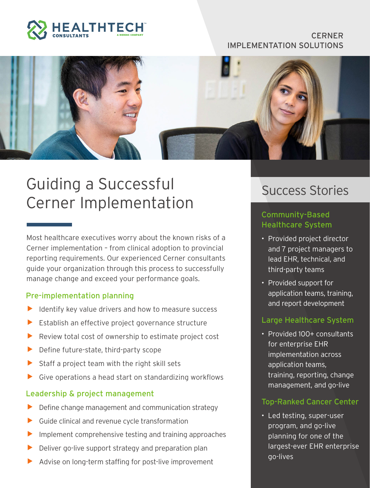

#### **CERNER** IMPLEMENTATION SOLUTIONS



# Guiding a Successful Cerner Implementation

Most healthcare executives worry about the known risks of a Cerner implementation – from clinical adoption to provincial reporting requirements. Our experienced Cerner consultants guide your organization through this process to successfully manage change and exceed your performance goals.

#### Pre-implementation planning

- Identify key value drivers and how to measure success
- Establish an effective project governance structure
- $\blacktriangleright$  Review total cost of ownership to estimate project cost
- Define future-state, third-party scope
- Staff a project team with the right skill sets
- $\triangleright$  Give operations a head start on standardizing workflows

#### Leadership & project management

- Define change management and communication strategy
- Guide clinical and revenue cycle transformation
- Implement comprehensive testing and training approaches
- Deliver go-live support strategy and preparation plan
- Advise on long-term staffing for post-live improvement

### Success Stories

#### Community-Based Healthcare System

- Provided project director and 7 project managers to lead EHR, technical, and third-party teams
- Provided support for application teams, training, and report development

#### Large Healthcare System

• Provided 100+ consultants for enterprise EHR implementation across application teams, training, reporting, change management, and go-live

#### Top-Ranked Cancer Center

• Led testing, super-user program, and go-live planning for one of the largest-ever EHR enterprise go-lives